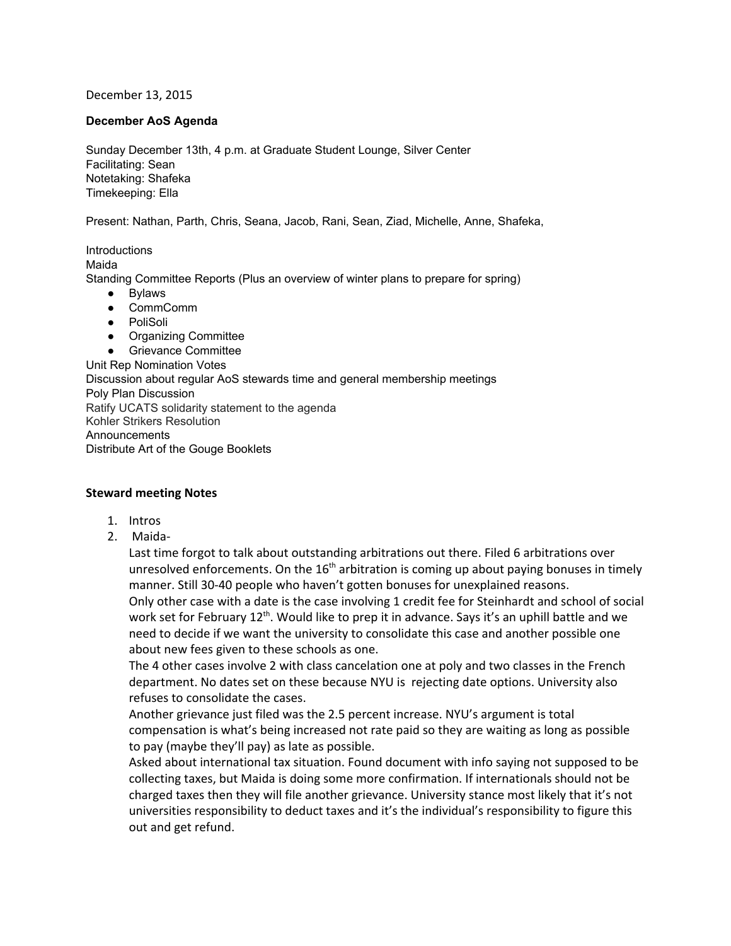December 13, 2015

## **December AoS Agenda**

Sunday December 13th, 4 p.m. at Graduate Student Lounge, Silver Center Facilitating: Sean Notetaking: Shafeka Timekeeping: Ella

Present: Nathan, Parth, Chris, Seana, Jacob, Rani, Sean, Ziad, Michelle, Anne, Shafeka,

Introductions Maida Standing Committee Reports (Plus an overview of winter plans to prepare for spring) ● Bylaws

- CommComm
- PoliSoli
- Organizing Committee

● Grievance Committee

Unit Rep Nomination Votes Discussion about regular AoS stewards time and general membership meetings Poly Plan Discussion Ratify UCATS solidarity statement to the agenda Kohler Strikers Resolution **Announcements** Distribute Art of the Gouge Booklets

# **Steward meeting Notes**

- 1. Intros
- 2. Maida-

Last time forgot to talk about outstanding arbitrations out there. Filed 6 arbitrations over unresolved enforcements. On the 16<sup>th</sup> arbitration is coming up about paying bonuses in timely manner. Still 30-40 people who haven't gotten bonuses for unexplained reasons. Only other case with a date is the case involving 1 credit fee for Steinhardt and school of social work set for February 12<sup>th</sup>. Would like to prep it in advance. Says it's an uphill battle and we need to decide if we want the university to consolidate this case and another possible one about new fees given to these schools as one.

The 4 other cases involve 2 with class cancelation one at poly and two classes in the French department. No dates set on these because NYU is rejecting date options. University also refuses to consolidate the cases.

Another grievance just filed was the 2.5 percent increase. NYU's argument is total compensation is what's being increased not rate paid so they are waiting as long as possible to pay (maybe they'll pay) as late as possible.

Asked about international tax situation. Found document with info saying not supposed to be collecting taxes, but Maida is doing some more confirmation. If internationals should not be charged taxes then they will file another grievance. University stance most likely that it's not universities responsibility to deduct taxes and it's the individual's responsibility to figure this out and get refund.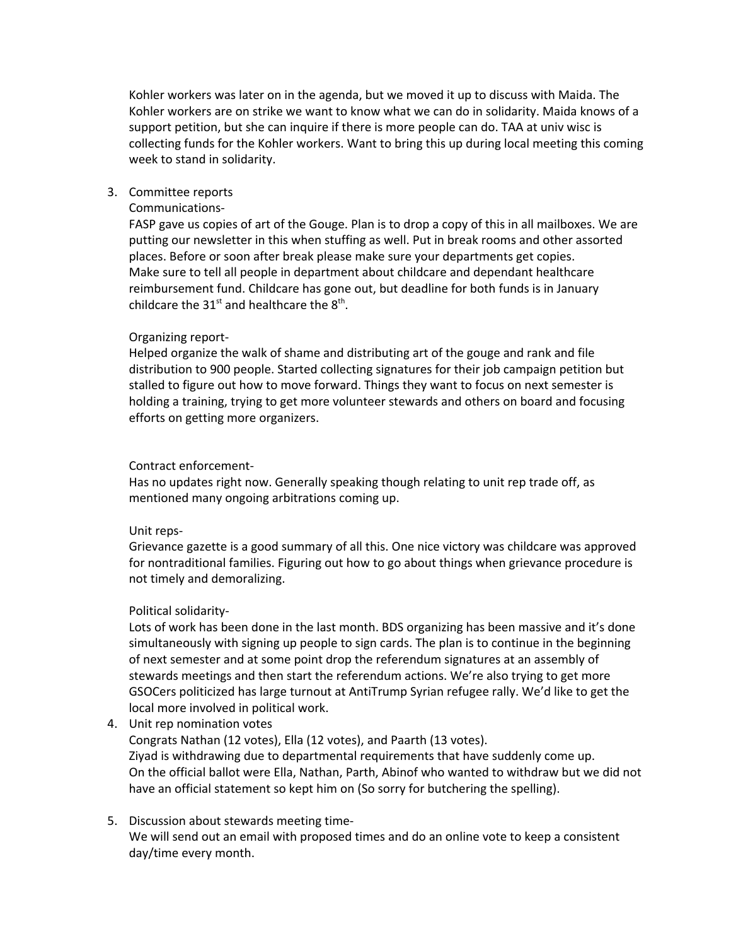Kohler workers was later on in the agenda, but we moved it up to discuss with Maida. The Kohler workers are on strike we want to know what we can do in solidarity. Maida knows of a support petition, but she can inquire if there is more people can do. TAA at univ wisc is collecting funds for the Kohler workers. Want to bring this up during local meeting this coming week to stand in solidarity.

# 3. Committee reports

### Communications-

FASP gave us copies of art of the Gouge. Plan is to drop a copy of this in all mailboxes. We are putting our newsletter in this when stuffing as well. Put in break rooms and other assorted places. Before or soon after break please make sure your departments get copies. Make sure to tell all people in department about childcare and dependant healthcare reimbursement fund. Childcare has gone out, but deadline for both funds is in January childcare the 31<sup>st</sup> and healthcare the  $8<sup>th</sup>$ .

## Organizing report-

Helped organize the walk of shame and distributing art of the gouge and rank and file distribution to 900 people. Started collecting signatures for their job campaign petition but stalled to figure out how to move forward. Things they want to focus on next semester is holding a training, trying to get more volunteer stewards and others on board and focusing efforts on getting more organizers.

### Contract enforcement-

Has no updates right now. Generally speaking though relating to unit rep trade off, as mentioned many ongoing arbitrations coming up.

#### Unit reps-

Grievance gazette is a good summary of all this. One nice victory was childcare was approved for nontraditional families. Figuring out how to go about things when grievance procedure is not timely and demoralizing.

#### Political solidarity-

Lots of work has been done in the last month. BDS organizing has been massive and it's done simultaneously with signing up people to sign cards. The plan is to continue in the beginning of next semester and at some point drop the referendum signatures at an assembly of stewards meetings and then start the referendum actions. We're also trying to get more GSOCers politicized has large turnout at AntiTrump Syrian refugee rally. We'd like to get the local more involved in political work.

4. Unit rep nomination votes

Congrats Nathan (12 votes), Ella (12 votes), and Paarth (13 votes). Ziyad is withdrawing due to departmental requirements that have suddenly come up. On the official ballot were Ella, Nathan, Parth, Abinof who wanted to withdraw but we did not have an official statement so kept him on (So sorry for butchering the spelling).

5. Discussion about stewards meeting time-We will send out an email with proposed times and do an online vote to keep a consistent day/time every month.